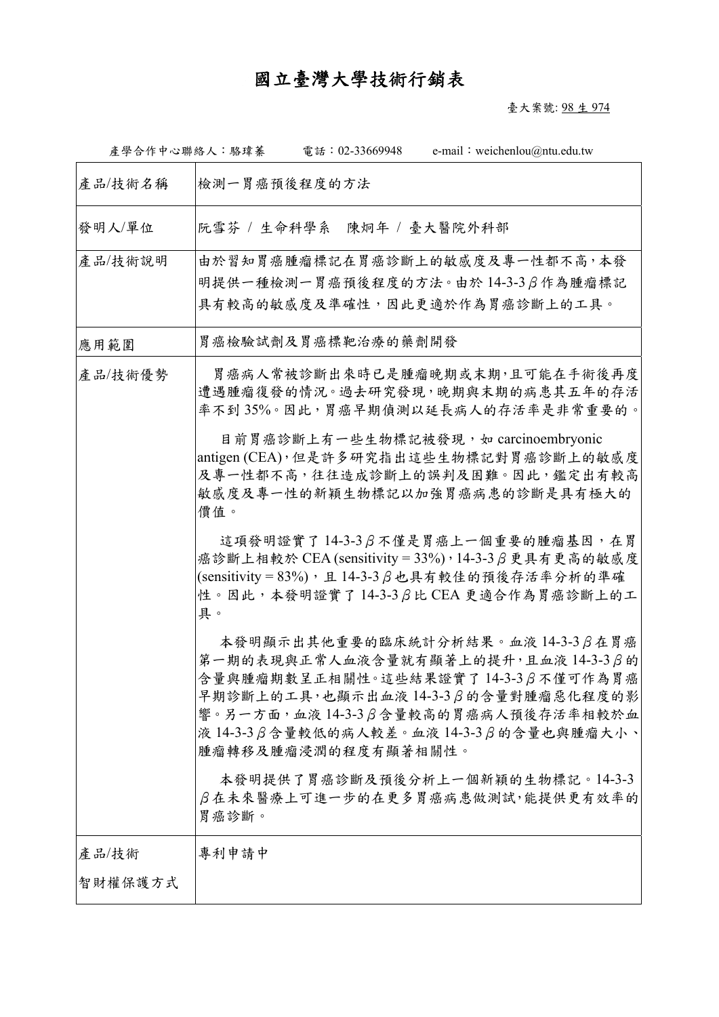## 國立臺灣大學技術行銷表

臺大案號: 98 生 974

| 產學合作中心聯絡人:駱瑋蓁 | e-mail: weichenlou@ntu.edu.tw<br>電話: 02-33669948                                                                                                                                                                                                                             |
|---------------|------------------------------------------------------------------------------------------------------------------------------------------------------------------------------------------------------------------------------------------------------------------------------|
| 產品/技術名稱       | 檢測一胃癌預後程度的方法                                                                                                                                                                                                                                                                 |
| 發明人/單位        | 阮雪芬 / 生命科學系<br>陳炯年 / 臺大醫院外科部                                                                                                                                                                                                                                                 |
| 產品/技術說明       | 由於習知胃癌腫瘤標記在胃癌診斷上的敏感度及專一性都不高,本發<br>明提供一種檢測一胃癌預後程度的方法。由於14-3-3β作為腫瘤標記<br>具有較高的敏感度及準確性,因此更適於作為胃癌診斷上的工具。                                                                                                                                                                         |
| 應用範圍          | 胃癌檢驗試劑及胃癌標靶治療的藥劑開發                                                                                                                                                                                                                                                           |
| 產品/技術優勢       | 胃癌病人常被診斷出來時已是腫瘤晚期或末期,且可能在手術後再度<br>遭遇腫瘤復發的情況。過去研究發現,晚期與末期的病患其五年的存活<br>率不到35%。因此,胃癌早期偵測以延長病人的存活率是非常重要的。                                                                                                                                                                        |
|               | 目前胃癌診斷上有一些生物標記被發現, 如 carcinoembryonic<br>antigen (CEA),但是許多研究指出這些生物標記對胃癌診斷上的敏感度<br>及專一性都不高,往往造成診斷上的誤判及困難。因此,鑑定出有較高<br>敏感度及專一性的新穎生物標記以加強胃癌病患的診斷是具有極大的<br>價值。                                                                                                                  |
|               | 這項發明證實了14-3-3β不僅是胃癌上一個重要的腫瘤基因,在胃<br>癌診斷上相較於 CEA (sensitivity = 33%), 14-3-3 β更具有更高的敏感度<br>(sensitivity = 83%), 且 14-3-3 $\beta$ 也具有較佳的預後存活率分析的準確<br>性。因此,本發明證實了14-3-3 β比 CEA 更適合作為胃癌診斷上的工<br>具。                                                                              |
|               | 本發明顯示出其他重要的臨床統計分析結果。血液 14-3-3 β在胃癌<br>第一期的表現與正常人血液含量就有顯著上的提升,且血液14-3-3β的<br>含量與腫瘤期數呈正相關性。這些結果證實了14-3-3β不僅可作為胃癌<br>早期診斷上的工具,也顯示出血液14-3-3β的含量對腫瘤惡化程度的影<br>響。另一方面,血液14-3-3β含量較高的胃癌病人預後存活率相較於血<br>液 14-3-3 $\beta$ 含量較低的病人較差。血液 14-3-3 $\beta$ 的含量也與腫瘤大小、<br>腫瘤轉移及腫瘤浸潤的程度有顯著相關性。 |
|               | 本發明提供了胃癌診斷及預後分析上一個新穎的生物標記。14-3-3<br>β在未來醫療上可進一步的在更多胃癌病患做測試,能提供更有效率的<br>胃癌診斷。                                                                                                                                                                                                 |
| 產品/技術         | 專利申請中                                                                                                                                                                                                                                                                        |
| 智財權保護方式       |                                                                                                                                                                                                                                                                              |